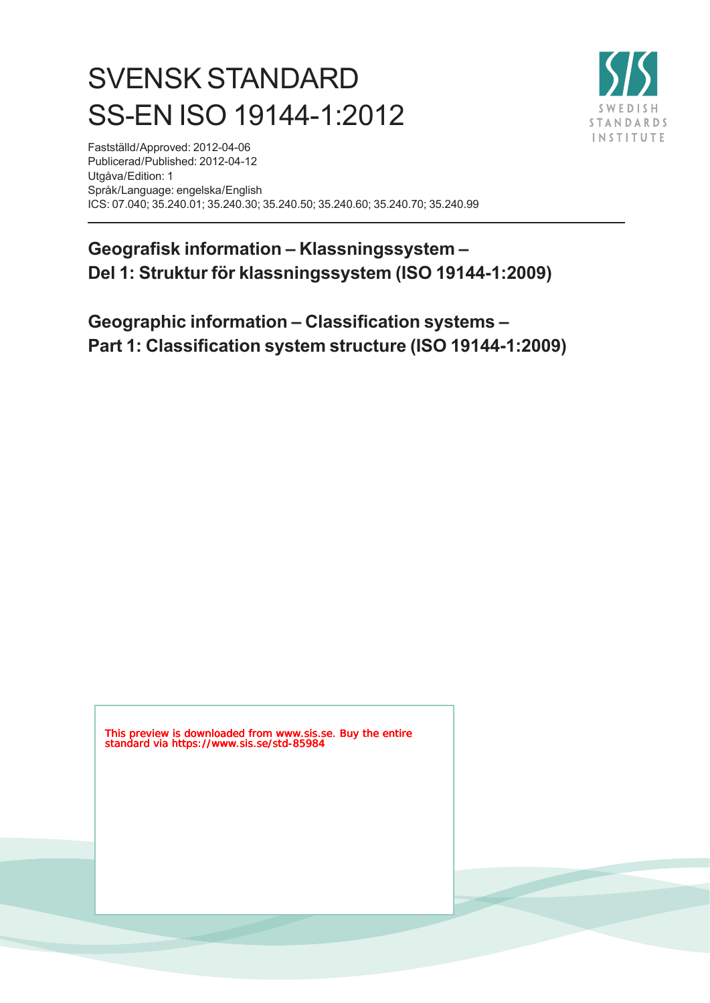# SVENSK STANDARD SS-EN ISO 19144-1:2012



Fastställd/Approved: 2012-04-06 Publicerad/Published: 2012-04-12 Utgåva/Edition: 1 Språk/Language: engelska/English ICS: 07.040; 35.240.01; 35.240.30; 35.240.50; 35.240.60; 35.240.70; 35.240.99

**Geografisk information – Klassningssystem – Del 1: Struktur för klassningssystem (ISO 19144-1:2009)**

**Geographic information – Classification systems – Part 1: Classification system structure (ISO 19144-1:2009)**

This preview is downloaded from www.sis.se. Buy the entire standard via https://www.sis.se/std-85984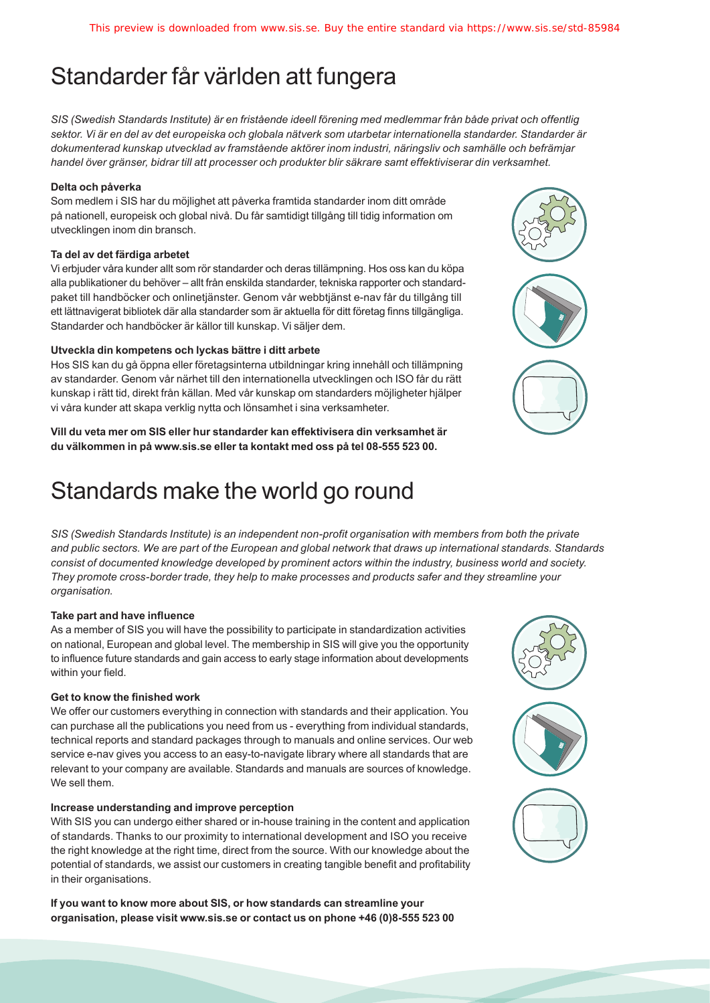## Standarder får världen att fungera

*SIS (Swedish Standards Institute) är en fristående ideell förening med medlemmar från både privat och offentlig sektor. Vi är en del av det europeiska och globala nätverk som utarbetar internationella standarder. Standarder är dokumenterad kunskap utvecklad av framstående aktörer inom industri, näringsliv och samhälle och befrämjar handel över gränser, bidrar till att processer och produkter blir säkrare samt effektiviserar din verksamhet.* 

#### **Delta och påverka**

Som medlem i SIS har du möjlighet att påverka framtida standarder inom ditt område på nationell, europeisk och global nivå. Du får samtidigt tillgång till tidig information om utvecklingen inom din bransch.

#### **Ta del av det färdiga arbetet**

Vi erbjuder våra kunder allt som rör standarder och deras tillämpning. Hos oss kan du köpa alla publikationer du behöver – allt från enskilda standarder, tekniska rapporter och standardpaket till handböcker och onlinetjänster. Genom vår webbtjänst e-nav får du tillgång till ett lättnavigerat bibliotek där alla standarder som är aktuella för ditt företag finns tillgängliga. Standarder och handböcker är källor till kunskap. Vi säljer dem.

#### **Utveckla din kompetens och lyckas bättre i ditt arbete**

Hos SIS kan du gå öppna eller företagsinterna utbildningar kring innehåll och tillämpning av standarder. Genom vår närhet till den internationella utvecklingen och ISO får du rätt kunskap i rätt tid, direkt från källan. Med vår kunskap om standarders möjligheter hjälper vi våra kunder att skapa verklig nytta och lönsamhet i sina verksamheter.

**Vill du veta mer om SIS eller hur standarder kan effektivisera din verksamhet är du välkommen in på www.sis.se eller ta kontakt med oss på tel 08-555 523 00.**

## Standards make the world go round

*SIS (Swedish Standards Institute) is an independent non-profit organisation with members from both the private and public sectors. We are part of the European and global network that draws up international standards. Standards consist of documented knowledge developed by prominent actors within the industry, business world and society. They promote cross-border trade, they help to make processes and products safer and they streamline your organisation.*

#### **Take part and have influence**

As a member of SIS you will have the possibility to participate in standardization activities on national, European and global level. The membership in SIS will give you the opportunity to influence future standards and gain access to early stage information about developments within your field.

#### **Get to know the finished work**

We offer our customers everything in connection with standards and their application. You can purchase all the publications you need from us - everything from individual standards, technical reports and standard packages through to manuals and online services. Our web service e-nav gives you access to an easy-to-navigate library where all standards that are relevant to your company are available. Standards and manuals are sources of knowledge. We sell them.

#### **Increase understanding and improve perception**

With SIS you can undergo either shared or in-house training in the content and application of standards. Thanks to our proximity to international development and ISO you receive the right knowledge at the right time, direct from the source. With our knowledge about the potential of standards, we assist our customers in creating tangible benefit and profitability in their organisations.

**If you want to know more about SIS, or how standards can streamline your organisation, please visit www.sis.se or contact us on phone +46 (0)8-555 523 00**



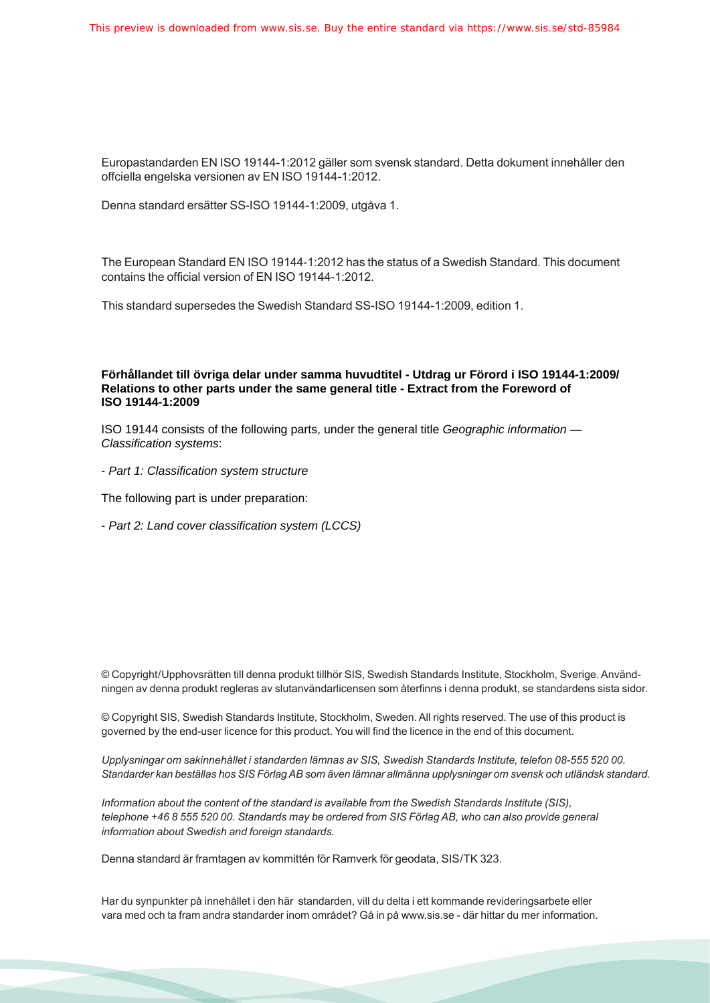Europastandarden EN ISO 19144-1:2012 gäller som svensk standard. Detta dokument innehåller den offciella engelska versionen av EN ISO 19144-1:2012.

Denna standard ersätter SS-ISO 19144-1:2009, utgåva 1.

The European Standard EN ISO 19144-1:2012 has the status of a Swedish Standard. This document contains the official version of EN ISO 19144-1:2012.

This standard supersedes the Swedish Standard SS-ISO 19144-1:2009, edition 1.

#### **Förhållandet till övriga delar under samma huvudtitel - Utdrag ur Förord i ISO 19144-1:2009/ Relations to other parts under the same general title - Extract from the Foreword of ISO 19144-1:2009**

ISO 19144 consists of the following parts, under the general title *Geographic information — Classification systems*:

- *Part 1: Classification system structure* 

The following part is under preparation:

- *Part 2: Land cover classification system (LCCS)*

© Copyright/Upphovsrätten till denna produkt tillhör SIS, Swedish Standards Institute, Stockholm, Sverige. Användningen av denna produkt regleras av slutanvändarlicensen som återfinns i denna produkt, se standardens sista sidor.

© Copyright SIS, Swedish Standards Institute, Stockholm, Sweden. All rights reserved. The use of this product is governed by the end-user licence for this product. You will find the licence in the end of this document.

*Upplysningar om sakinnehållet i standarden lämnas av SIS, Swedish Standards Institute, telefon 08-555 520 00. Standarder kan beställas hos SIS Förlag AB som även lämnar allmänna upplysningar om svensk och utländsk standard.*

*Information about the content of the standard is available from the Swedish Standards Institute (SIS), telephone +46 8 555 520 00. Standards may be ordered from SIS Förlag AB, who can also provide general information about Swedish and foreign standards.*

Denna standard är framtagen av kommittén för Ramverk för geodata, SIS/TK 323.

Har du synpunkter på innehållet i den här standarden, vill du delta i ett kommande revideringsarbete eller vara med och ta fram andra standarder inom området? Gå in på www.sis.se - där hittar du mer information.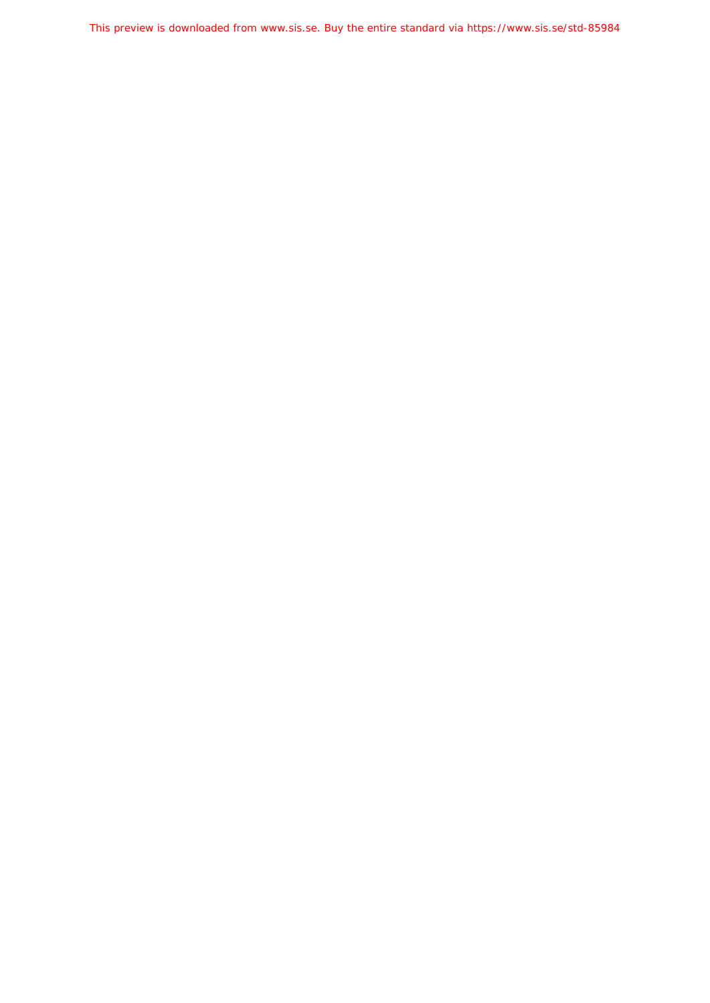This preview is downloaded from www.sis.se. Buy the entire standard via https://www.sis.se/std-85984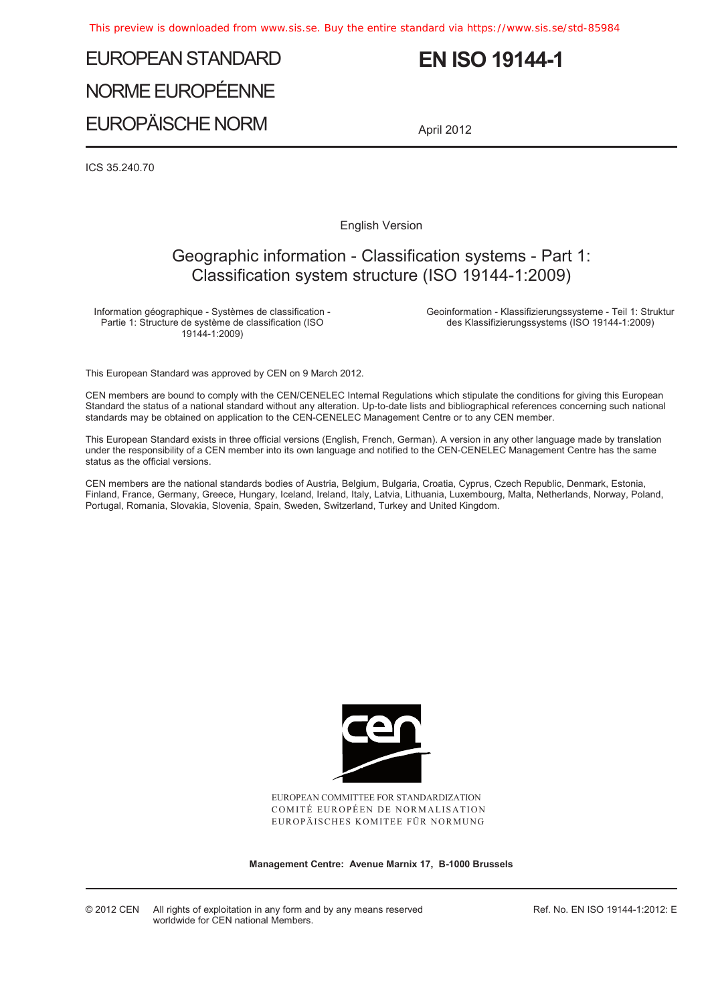## EUROPEAN STANDARD NORME EUROPÉENNE EUROPÄISCHE NORM

## **EN ISO 19144-1**

April 2012

ICS 35.240.70

English Version

## Geographic information - Classification systems - Part 1: Classification system structure (ISO 19144-1:2009)

Information géographique - Systèmes de classification - Partie 1: Structure de système de classification (ISO 19144-1:2009)

 Geoinformation - Klassifizierungssysteme - Teil 1: Struktur des Klassifizierungssystems (ISO 19144-1:2009)

This European Standard was approved by CEN on 9 March 2012.

CEN members are bound to comply with the CEN/CENELEC Internal Regulations which stipulate the conditions for giving this European Standard the status of a national standard without any alteration. Up-to-date lists and bibliographical references concerning such national standards may be obtained on application to the CEN-CENELEC Management Centre or to any CEN member.

This European Standard exists in three official versions (English, French, German). A version in any other language made by translation under the responsibility of a CEN member into its own language and notified to the CEN-CENELEC Management Centre has the same status as the official versions.

CEN members are the national standards bodies of Austria, Belgium, Bulgaria, Croatia, Cyprus, Czech Republic, Denmark, Estonia, Finland, France, Germany, Greece, Hungary, Iceland, Ireland, Italy, Latvia, Lithuania, Luxembourg, Malta, Netherlands, Norway, Poland, Portugal, Romania, Slovakia, Slovenia, Spain, Sweden, Switzerland, Turkey and United Kingdom.



EUROPEAN COMMITTEE FOR STANDARDIZATION COMITÉ EUROPÉEN DE NORMALISATION EUROPÄISCHES KOMITEE FÜR NORMUNG

**Management Centre: Avenue Marnix 17, B-1000 Brussels**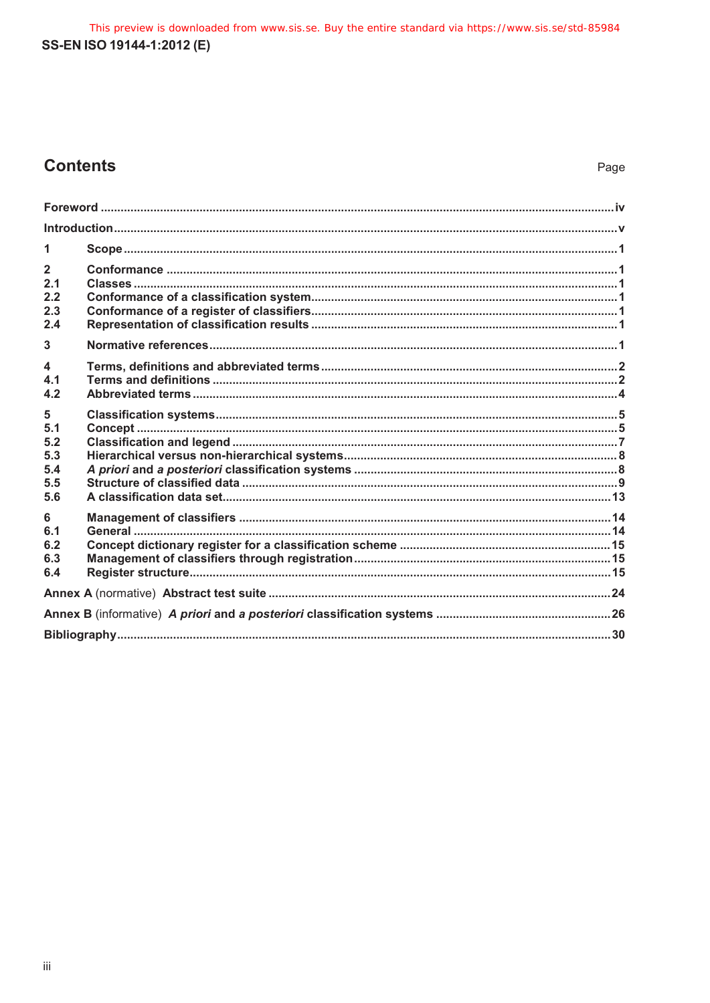This preview is downloaded from www.sis.se. Buy the entire standard via https://www.sis.se/std-85984 SS-EN ISO 19144-1:2012 (E)

## **Contents**

| 1                                           |  |
|---------------------------------------------|--|
| $\overline{2}$<br>2.1<br>2.2<br>2.3<br>2.4  |  |
| 3                                           |  |
| $\blacktriangle$<br>4.1<br>4.2              |  |
| 5<br>5.1<br>5.2<br>5.3<br>5.4<br>5.5<br>5.6 |  |
| 6<br>6.1<br>6.2<br>6.3<br>6.4               |  |
|                                             |  |
|                                             |  |
|                                             |  |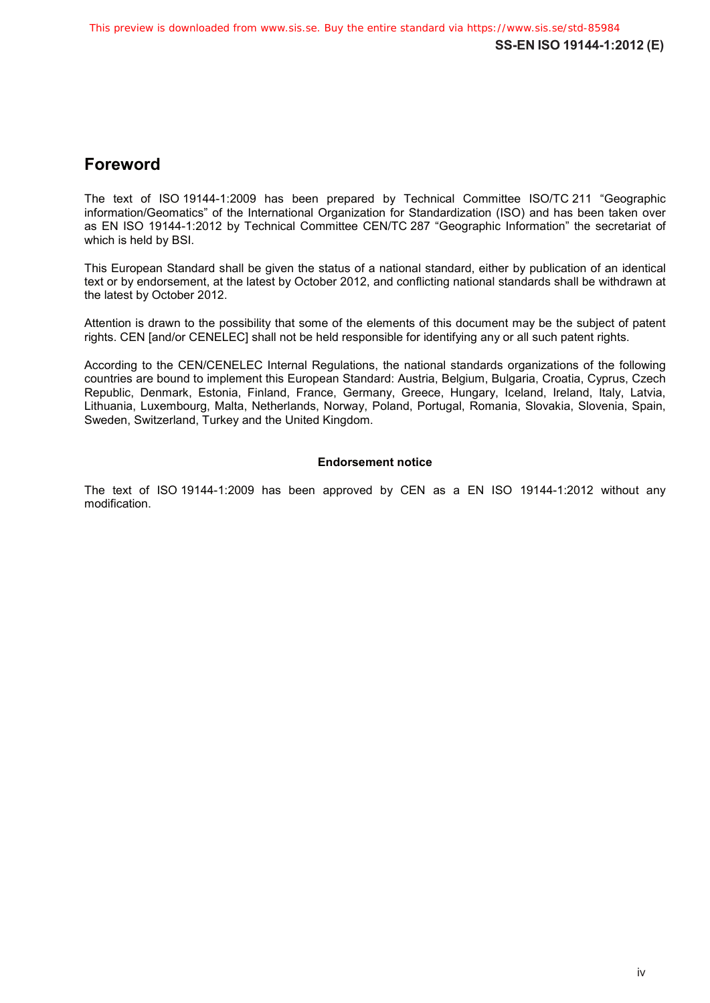## **Foreword**

The text of ISO 19144-1:2009 has been prepared by Technical Committee ISO/TC 211 "Geographic information/Geomatics" of the International Organization for Standardization (ISO) and has been taken over as EN ISO 19144-1:2012 by Technical Committee CEN/TC 287 "Geographic Information" the secretariat of which is held by BSI.

This European Standard shall be given the status of a national standard, either by publication of an identical text or by endorsement, at the latest by October 2012, and conflicting national standards shall be withdrawn at the latest by October 2012.

Attention is drawn to the possibility that some of the elements of this document may be the subject of patent rights. CEN [and/or CENELEC] shall not be held responsible for identifying any or all such patent rights.

According to the CEN/CENELEC Internal Regulations, the national standards organizations of the following countries are bound to implement this European Standard: Austria, Belgium, Bulgaria, Croatia, Cyprus, Czech Republic, Denmark, Estonia, Finland, France, Germany, Greece, Hungary, Iceland, Ireland, Italy, Latvia, Lithuania, Luxembourg, Malta, Netherlands, Norway, Poland, Portugal, Romania, Slovakia, Slovenia, Spain, Sweden, Switzerland, Turkey and the United Kingdom.

#### **Endorsement notice**

The text of ISO 19144-1:2009 has been approved by CEN as a EN ISO 19144-1:2012 without any modification.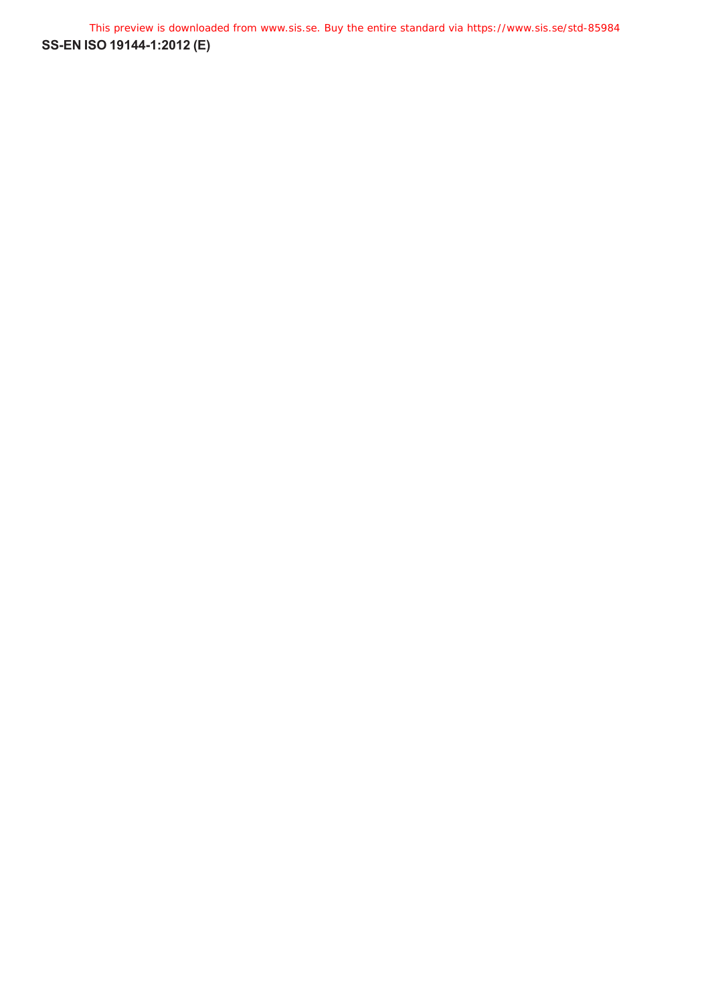**SS-EN ISO 19144-1:2012 (E)** This preview is downloaded from www.sis.se. Buy the entire standard via https://www.sis.se/std-85984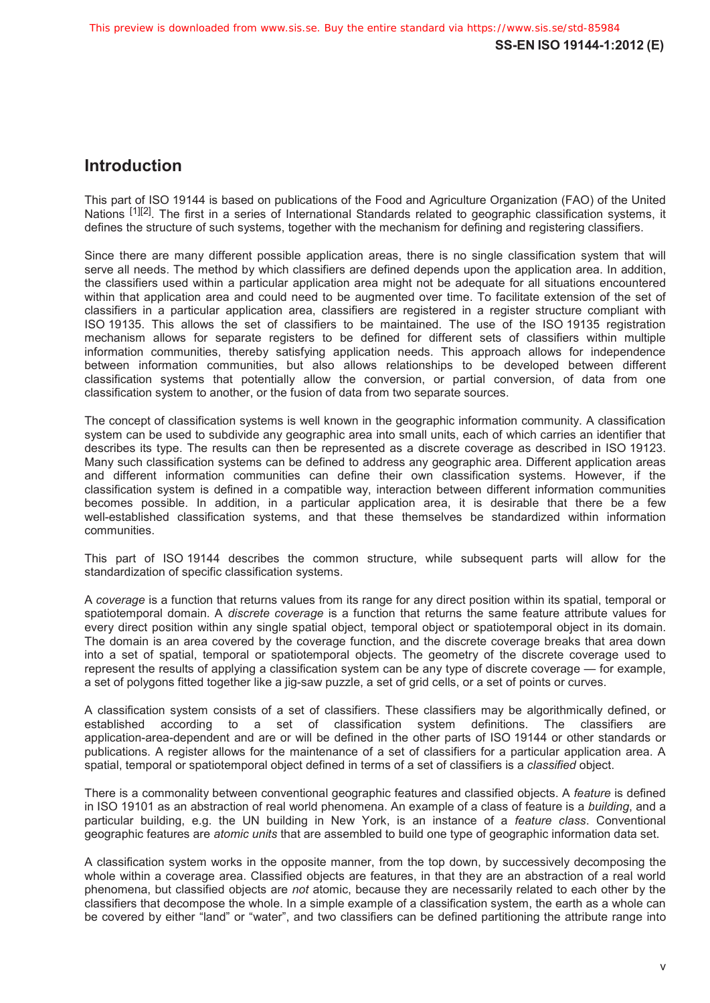## **Introduction**

This part of ISO 19144 is based on publications of the Food and Agriculture Organization (FAO) of the United Nations <sup>[1][2]</sup>. The first in a series of International Standards related to geographic classification systems, it defines the structure of such systems, together with the mechanism for defining and registering classifiers.

Since there are many different possible application areas, there is no single classification system that will serve all needs. The method by which classifiers are defined depends upon the application area. In addition, the classifiers used within a particular application area might not be adequate for all situations encountered within that application area and could need to be augmented over time. To facilitate extension of the set of classifiers in a particular application area, classifiers are registered in a register structure compliant with ISO 19135. This allows the set of classifiers to be maintained. The use of the ISO 19135 registration mechanism allows for separate registers to be defined for different sets of classifiers within multiple information communities, thereby satisfying application needs. This approach allows for independence between information communities, but also allows relationships to be developed between different classification systems that potentially allow the conversion, or partial conversion, of data from one classification system to another, or the fusion of data from two separate sources.

The concept of classification systems is well known in the geographic information community. A classification system can be used to subdivide any geographic area into small units, each of which carries an identifier that describes its type. The results can then be represented as a discrete coverage as described in ISO 19123. Many such classification systems can be defined to address any geographic area. Different application areas and different information communities can define their own classification systems. However, if the classification system is defined in a compatible way, interaction between different information communities becomes possible. In addition, in a particular application area, it is desirable that there be a few well-established classification systems, and that these themselves be standardized within information communities.

This part of ISO 19144 describes the common structure, while subsequent parts will allow for the standardization of specific classification systems.

A *coverage* is a function that returns values from its range for any direct position within its spatial, temporal or spatiotemporal domain. A *discrete coverage* is a function that returns the same feature attribute values for every direct position within any single spatial object, temporal object or spatiotemporal object in its domain. The domain is an area covered by the coverage function, and the discrete coverage breaks that area down into a set of spatial, temporal or spatiotemporal objects. The geometry of the discrete coverage used to represent the results of applying a classification system can be any type of discrete coverage — for example, a set of polygons fitted together like a jig-saw puzzle, a set of grid cells, or a set of points or curves.

A classification system consists of a set of classifiers. These classifiers may be algorithmically defined, or established according to a set of classification system definitions. The classifiers are application-area-dependent and are or will be defined in the other parts of ISO 19144 or other standards or publications. A register allows for the maintenance of a set of classifiers for a particular application area. A spatial, temporal or spatiotemporal object defined in terms of a set of classifiers is a *classified* object.

There is a commonality between conventional geographic features and classified objects. A *feature* is defined in ISO 19101 as an abstraction of real world phenomena. An example of a class of feature is a *building*, and a particular building, e.g. the UN building in New York, is an instance of a *feature class*. Conventional geographic features are *atomic units* that are assembled to build one type of geographic information data set.

A classification system works in the opposite manner, from the top down, by successively decomposing the whole within a coverage area. Classified objects are features, in that they are an abstraction of a real world phenomena, but classified objects are *not* atomic, because they are necessarily related to each other by the classifiers that decompose the whole. In a simple example of a classification system, the earth as a whole can be covered by either "land" or "water", and two classifiers can be defined partitioning the attribute range into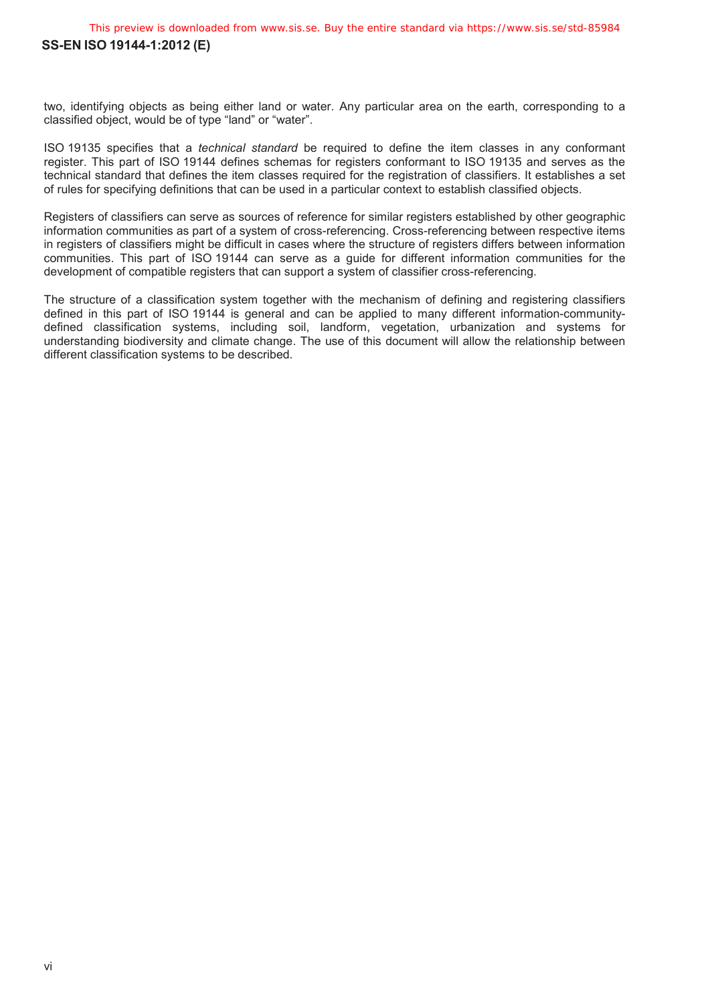two, identifying objects as being either land or water. Any particular area on the earth, corresponding to a classified object, would be of type "land" or "water".

ISO 19135 specifies that a *technical standard* be required to define the item classes in any conformant register. This part of ISO 19144 defines schemas for registers conformant to ISO 19135 and serves as the technical standard that defines the item classes required for the registration of classifiers. It establishes a set of rules for specifying definitions that can be used in a particular context to establish classified objects.

Registers of classifiers can serve as sources of reference for similar registers established by other geographic information communities as part of a system of cross-referencing. Cross-referencing between respective items in registers of classifiers might be difficult in cases where the structure of registers differs between information communities. This part of ISO 19144 can serve as a guide for different information communities for the development of compatible registers that can support a system of classifier cross-referencing.

The structure of a classification system together with the mechanism of defining and registering classifiers defined in this part of ISO 19144 is general and can be applied to many different information-communitydefined classification systems, including soil, landform, vegetation, urbanization and systems for understanding biodiversity and climate change. The use of this document will allow the relationship between different classification systems to be described.